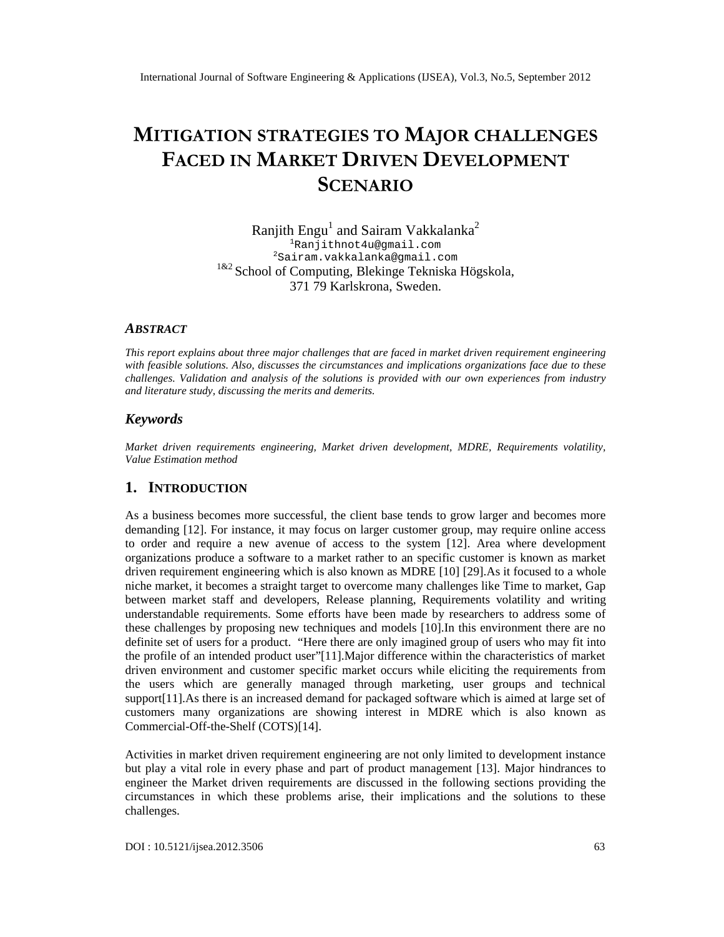# MITIGATIOSN RATEGIESMAJOOR CHALLENGES FACED INNARKEDRIVENDEVELOPMENT SCENARIO

Ranjith Engu and Sairam Vakkalanka <sup>1</sup>[Ranjithnot4u@gmail.com](mailto:1Ranjithnot4u@gmail.com) <sup>2</sup>Sairam.v [akkalanka@gmail.com](mailto:vakkalanka@gmail.com) <sup>1&2</sup> School of ComputingBlekinge Tekniska Högskola, 371 79 KarlskronaSweden.

# **ABSTRACT**

This report explains about threeajor challenges that are faced in market driven requirement engineering with feasiblesolutions. Aso, discusses the ircumstance and implicationsorganizations facedue to these challenges.Validation and analysis of the solutions iprovided with our own experiences fromdustry and literature study, discussing the mis and demets.

# Keywords

Market driven requirements engineering, Market driven developmente. Requirements volatility, Value Estimation method

# 1. INTRODUCTION

As a business becomes more successful, the client base tends to grow larger and becomes more demanding [12]. For instance, it am focus on larger customer group, may require online access to order and require a new avenue of access to the system Areal where development organizations produce a software to a market rather to an specific customer is known as market driven requiement engineering which is also known as MDRE [29].As it focused to a whole niche market, it becomes a straight target to overcome many challenges like Time to market, Gap between market staff and developers, Release planning, Requirements volatility riting understandable requirements. Some efforts have been made by researchers to address some of these challenges by proposing new techniques and models [10].In this environment there are no definite set of users for a product. €Here there are manal group of users who may fit into the profile of an intended product user•[11].Major difference within the characteristics of market driven environment and customer specific market occurs while eliciting the requirements from the users which are genally managed through marketing, user groups and technical support[11].As there is an increased demand for packaged software which is aimed at large set of customers many organizations are showing interest in MDRE which is also known as CommercialOff-the-Shelf (COTS)[14].

Activities in market driven requirement engineering are not only limited to development instance but play a vital role in every phase and part of product management **Major** hindrancesto engineerthe Marketdriven requirements arediscussed in the following sections providing the circumstances in which these problems arise, their implications and the solutions to these challenges.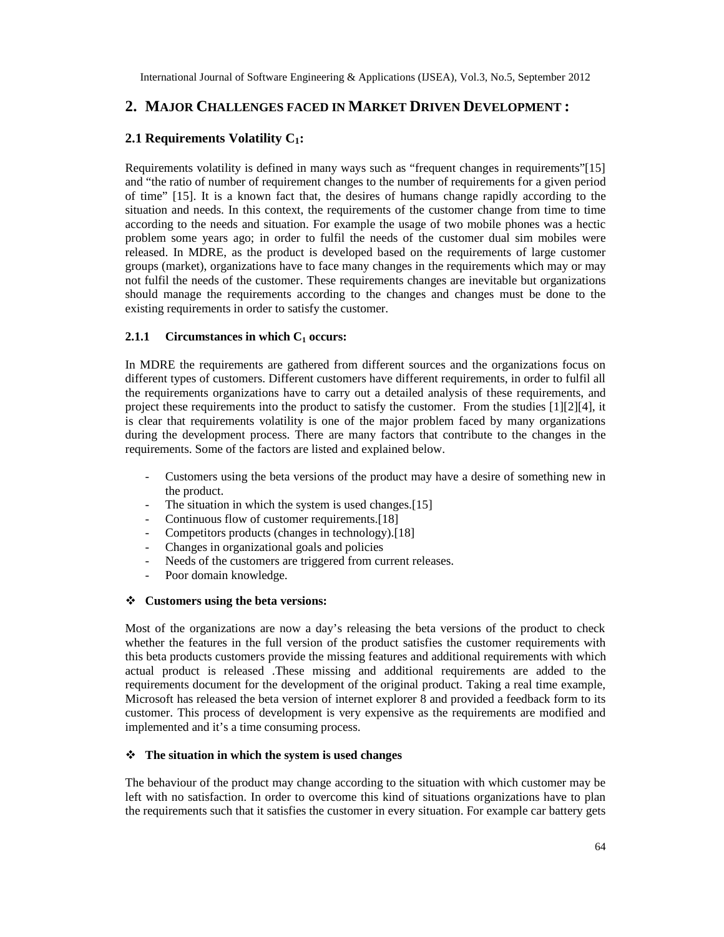# **2. MAJOR CHALLENGES FACED IN MARKET DRIVEN DEVELOPMENT :**

# **2.1 Requirements Volatility C1:**

Requirements volatility is defined in many ways such as "frequent changes in requirements"[15] and "the ratio of number of requirement changes to the number of requirements for a given period of time" [15]. It is a known fact that, the desires of humans change rapidly according to the situation and needs. In this context, the requirements of the customer change from time to time according to the needs and situation. For example the usage of two mobile phones was a hectic problem some years ago; in order to fulfil the needs of the customer dual sim mobiles were released. In MDRE, as the product is developed based on the requirements of large customer groups (market), organizations have to face many changes in the requirements which may or may not fulfil the needs of the customer. These requirements changes are inevitable but organizations should manage the requirements according to the changes and changes must be done to the existing requirements in order to satisfy the customer.

### **2.1.1 Circumstances in which C<sup>1</sup> occurs:**

In MDRE the requirements are gathered from different sources and the organizations focus on different types of customers. Different customers have different requirements, in order to fulfil all the requirements organizations have to carry out a detailed analysis of these requirements, and project these requirements into the product to satisfy the customer. From the studies [1][2][4], it is clear that requirements volatility is one of the major problem faced by many organizations during the development process. There are many factors that contribute to the changes in the requirements. Some of the factors are listed and explained below.

- Customers using the beta versions of the product may have a desire of something new in the product.
- The situation in which the system is used changes.[15]
- Continuous flow of customer requirements.[18]
- Competitors products (changes in technology).[18]
- Changes in organizational goals and policies
- Needs of the customers are triggered from current releases.
- Poor domain knowledge.

### **Customers using the beta versions:**

Most of the organizations are now a day's releasing the beta versions of the product to check whether the features in the full version of the product satisfies the customer requirements with this beta products customers provide the missing features and additional requirements with which actual product is released .These missing and additional requirements are added to the requirements document for the development of the original product. Taking a real time example, Microsoft has released the beta version of internet explorer 8 and provided a feedback form to its customer. This process of development is very expensive as the requirements are modified and implemented and it's a time consuming process.

### **The situation in which the system is used changes**

The behaviour of the product may change according to the situation with which customer may be left with no satisfaction. In order to overcome this kind of situations organizations have to plan the requirements such that it satisfies the customer in every situation. For example car battery gets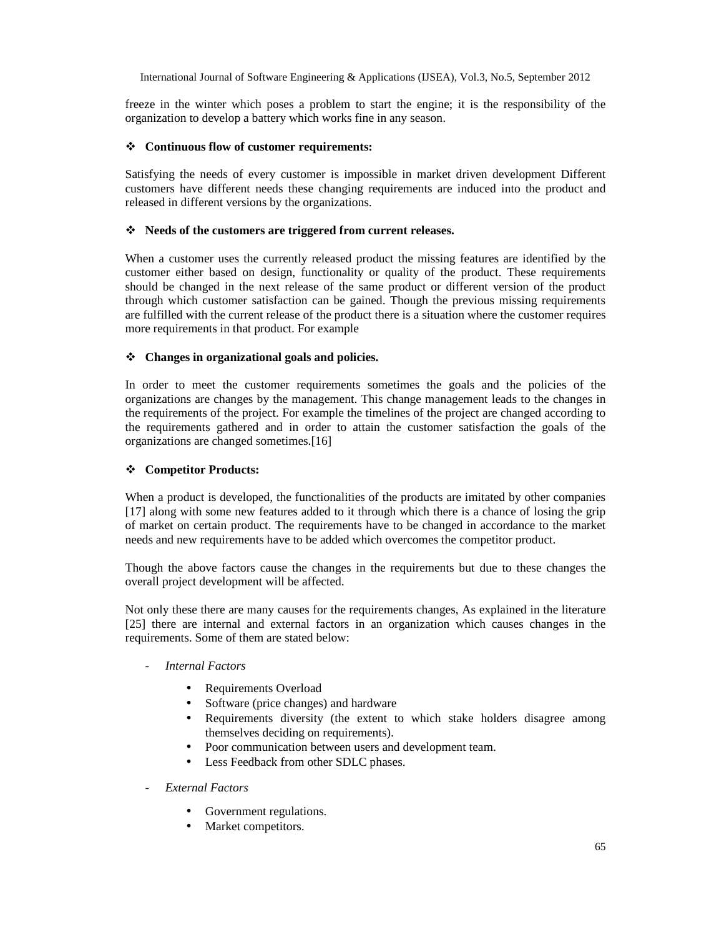freeze in the winter which poses a problem to start the engine; it is the responsibility of the organization to develop a battery which works fine in any season.

### **Continuous flow of customer requirements:**

Satisfying the needs of every customer is impossible in market driven development Different customers have different needs these changing requirements are induced into the product and released in different versions by the organizations.

### **Needs of the customers are triggered from current releases.**

When a customer uses the currently released product the missing features are identified by the customer either based on design, functionality or quality of the product. These requirements should be changed in the next release of the same product or different version of the product through which customer satisfaction can be gained. Though the previous missing requirements are fulfilled with the current release of the product there is a situation where the customer requires more requirements in that product. For example

### **Changes in organizational goals and policies.**

In order to meet the customer requirements sometimes the goals and the policies of the organizations are changes by the management. This change management leads to the changes in the requirements of the project. For example the timelines of the project are changed according to the requirements gathered and in order to attain the customer satisfaction the goals of the organizations are changed sometimes.[16]

### **Competitor Products:**

When a product is developed, the functionalities of the products are imitated by other companies [17] along with some new features added to it through which there is a chance of losing the grip of market on certain product. The requirements have to be changed in accordance to the market needs and new requirements have to be added which overcomes the competitor product.

Though the above factors cause the changes in the requirements but due to these changes the overall project development will be affected.

Not only these there are many causes for the requirements changes, As explained in the literature [25] there are internal and external factors in an organization which causes changes in the requirements. Some of them are stated below:

- *Internal Factors*
	- Requirements Overload
	- Software (price changes) and hardware
	- Requirements diversity (the extent to which stake holders disagree among themselves deciding on requirements).
	- Poor communication between users and development team.
	- Less Feedback from other SDLC phases.
- *External Factors*
	- Government regulations.
	- Market competitors.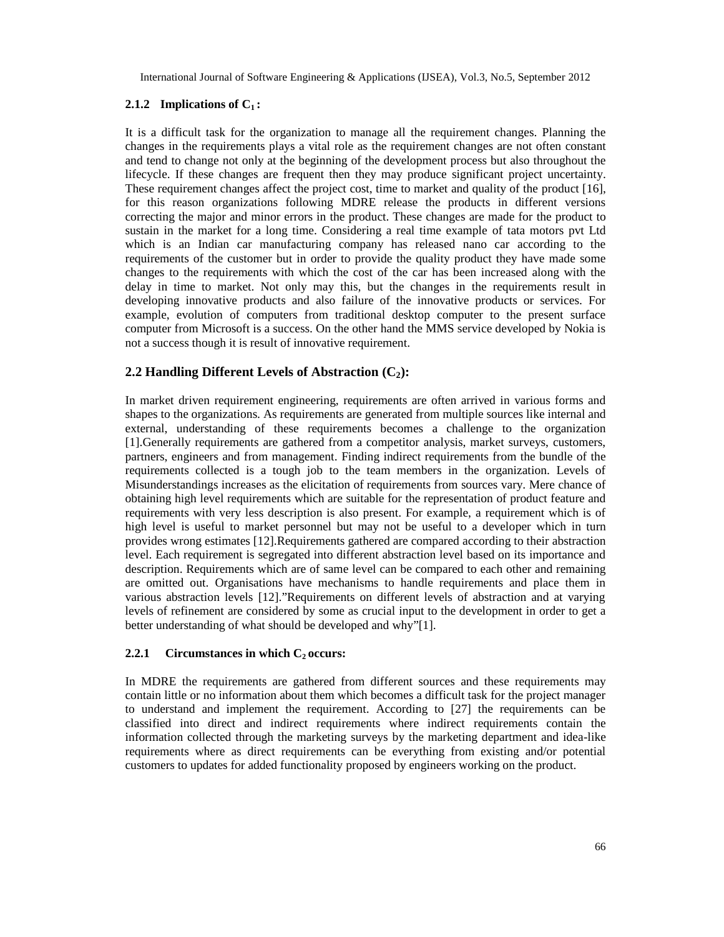### **2.1.2 Implications of**  $C_1$ **:**

It is a difficult task for the organization to manage all the requirement changes. Planning the changes in the requirements plays a vital role as the requirement changes are not often constant and tend to change not only at the beginning of the development process but also throughout the lifecycle. If these changes are frequent then they may produce significant project uncertainty. These requirement changes affect the project cost, time to market and quality of the product [16], for this reason organizations following MDRE release the products in different versions correcting the major and minor errors in the product. These changes are made for the product to sustain in the market for a long time. Considering a real time example of tata motors pvt Ltd which is an Indian car manufacturing company has released nano car according to the requirements of the customer but in order to provide the quality product they have made some changes to the requirements with which the cost of the car has been increased along with the delay in time to market. Not only may this, but the changes in the requirements result in developing innovative products and also failure of the innovative products or services. For example, evolution of computers from traditional desktop computer to the present surface computer from Microsoft is a success. On the other hand the MMS service developed by Nokia is not a success though it is result of innovative requirement.

# **2.2 Handling Different Levels of Abstraction (C2):**

In market driven requirement engineering, requirements are often arrived in various forms and shapes to the organizations. As requirements are generated from multiple sources like internal and external, understanding of these requirements becomes a challenge to the organization [1].Generally requirements are gathered from a competitor analysis, market surveys, customers, partners, engineers and from management. Finding indirect requirements from the bundle of the requirements collected is a tough job to the team members in the organization. Levels of Misunderstandings increases as the elicitation of requirements from sources vary. Mere chance of obtaining high level requirements which are suitable for the representation of product feature and requirements with very less description is also present. For example, a requirement which is of high level is useful to market personnel but may not be useful to a developer which in turn provides wrong estimates [12].Requirements gathered are compared according to their abstraction level. Each requirement is segregated into different abstraction level based on its importance and description. Requirements which are of same level can be compared to each other and remaining are omitted out. Organisations have mechanisms to handle requirements and place them in various abstraction levels [12]."Requirements on different levels of abstraction and at varying levels of refinement are considered by some as crucial input to the development in order to get a better understanding of what should be developed and why"[1].

### **2.2.1 Circumstances in which C<sup>2</sup> occurs:**

In MDRE the requirements are gathered from different sources and these requirements may contain little or no information about them which becomes a difficult task for the project manager to understand and implement the requirement. According to [27] the requirements can be classified into direct and indirect requirements where indirect requirements contain the information collected through the marketing surveys by the marketing department and idea-like requirements where as direct requirements can be everything from existing and/or potential customers to updates for added functionality proposed by engineers working on the product.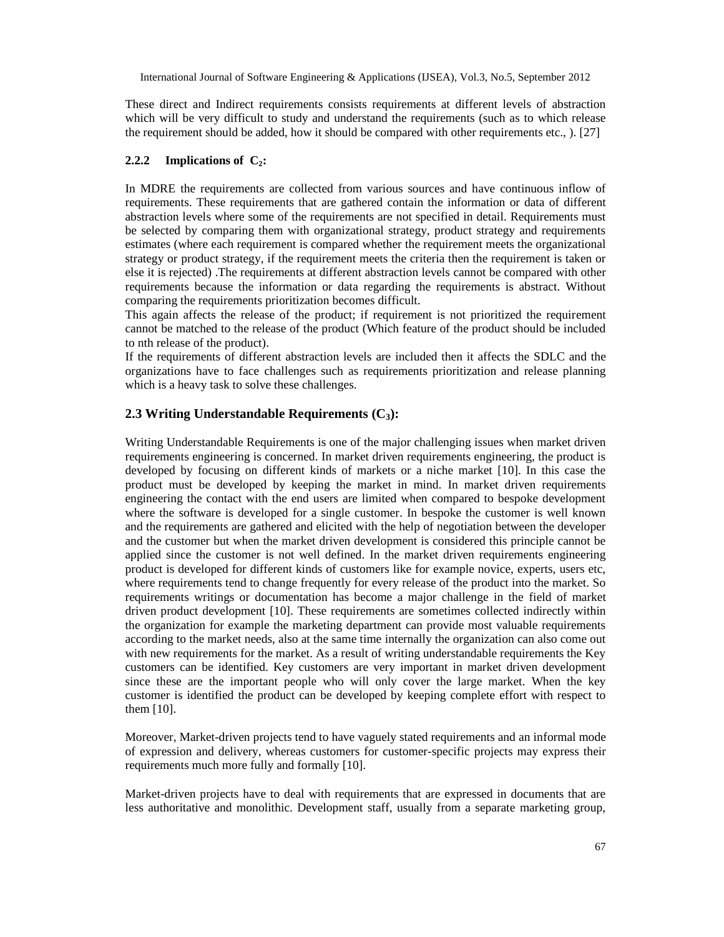These direct and Indirect requirements consists requirements at different levels of abstraction which will be very difficult to study and understand the requirements (such as to which release the requirement should be added, how it should be compared with other requirements etc., ). [27]

### **2.2.2 Implications of C2:**

In MDRE the requirements are collected from various sources and have continuous inflow of requirements. These requirements that are gathered contain the information or data of different abstraction levels where some of the requirements are not specified in detail. Requirements must be selected by comparing them with organizational strategy, product strategy and requirements estimates (where each requirement is compared whether the requirement meets the organizational strategy or product strategy, if the requirement meets the criteria then the requirement is taken or else it is rejected) .The requirements at different abstraction levels cannot be compared with other requirements because the information or data regarding the requirements is abstract. Without comparing the requirements prioritization becomes difficult.

This again affects the release of the product; if requirement is not prioritized the requirement cannot be matched to the release of the product (Which feature of the product should be included to nth release of the product).

If the requirements of different abstraction levels are included then it affects the SDLC and the organizations have to face challenges such as requirements prioritization and release planning which is a heavy task to solve these challenges.

# **2.3 Writing Understandable Requirements (C3):**

Writing Understandable Requirements is one of the major challenging issues when market driven requirements engineering is concerned. In market driven requirements engineering, the product is developed by focusing on different kinds of markets or a niche market [10]. In this case the product must be developed by keeping the market in mind. In market driven requirements engineering the contact with the end users are limited when compared to bespoke development where the software is developed for a single customer. In bespoke the customer is well known and the requirements are gathered and elicited with the help of negotiation between the developer and the customer but when the market driven development is considered this principle cannot be applied since the customer is not well defined. In the market driven requirements engineering product is developed for different kinds of customers like for example novice, experts, users etc, where requirements tend to change frequently for every release of the product into the market. So requirements writings or documentation has become a major challenge in the field of market driven product development [10]. These requirements are sometimes collected indirectly within the organization for example the marketing department can provide most valuable requirements according to the market needs, also at the same time internally the organization can also come out with new requirements for the market. As a result of writing understandable requirements the Key customers can be identified. Key customers are very important in market driven development since these are the important people who will only cover the large market. When the key customer is identified the product can be developed by keeping complete effort with respect to them [10].

Moreover, Market-driven projects tend to have vaguely stated requirements and an informal mode of expression and delivery, whereas customers for customer-specific projects may express their requirements much more fully and formally [10].

Market-driven projects have to deal with requirements that are expressed in documents that are less authoritative and monolithic. Development staff, usually from a separate marketing group,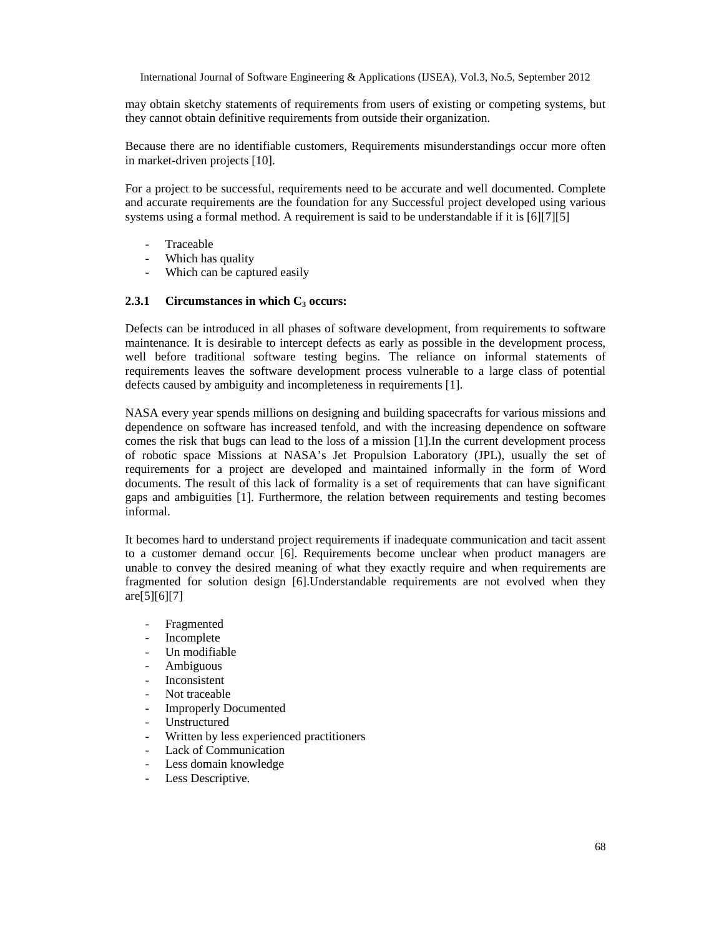may obtain sketchy statements of requirements from users of existing or competing systems, but they cannot obtain definitive requirements from outside their organization.

Because there are no identifiable customers, Requirements misunderstandings occur more often in market-driven projects [10].

For a project to be successful, requirements need to be accurate and well documented. Complete and accurate requirements are the foundation for any Successful project developed using various systems using a formal method. A requirement is said to be understandable if it is [6][7][5]

- **Traceable**
- Which has quality
- Which can be captured easily

### **2.3.1 Circumstances in which C<sup>3</sup> occurs:**

Defects can be introduced in all phases of software development, from requirements to software maintenance. It is desirable to intercept defects as early as possible in the development process, well before traditional software testing begins. The reliance on informal statements of requirements leaves the software development process vulnerable to a large class of potential defects caused by ambiguity and incompleteness in requirements [1].

NASA every year spends millions on designing and building spacecrafts for various missions and dependence on software has increased tenfold, and with the increasing dependence on software comes the risk that bugs can lead to the loss of a mission [1].In the current development process of robotic space Missions at NASA's Jet Propulsion Laboratory (JPL), usually the set of requirements for a project are developed and maintained informally in the form of Word documents. The result of this lack of formality is a set of requirements that can have significant gaps and ambiguities [1]. Furthermore, the relation between requirements and testing becomes informal.

It becomes hard to understand project requirements if inadequate communication and tacit assent to a customer demand occur [6]. Requirements become unclear when product managers are unable to convey the desired meaning of what they exactly require and when requirements are fragmented for solution design [6].Understandable requirements are not evolved when they are[5][6][7]

- **Fragmented**
- **Incomplete**
- Un modifiable
- Ambiguous
- **Inconsistent**
- Not traceable
- **Improperly Documented**
- Unstructured
- Written by less experienced practitioners
- Lack of Communication
- Less domain knowledge
- Less Descriptive.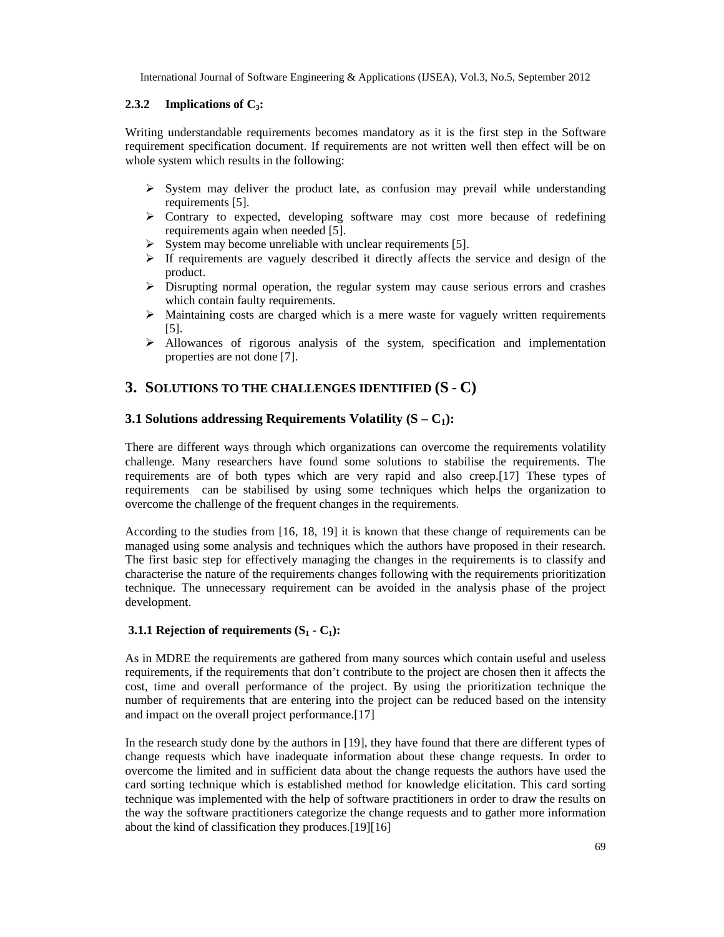# **2.3.2 Implications of C3:**

Writing understandable requirements becomes mandatory as it is the first step in the Software requirement specification document. If requirements are not written well then effect will be on whole system which results in the following:

- $\triangleright$  System may deliver the product late, as confusion may prevail while understanding requirements [5].
- $\triangleright$  Contrary to expected, developing software may cost more because of redefining requirements again when needed [5].
- $\triangleright$  System may become unreliable with unclear requirements [5].
- $\triangleright$  If requirements are vaguely described it directly affects the service and design of the product.
- $\triangleright$  Disrupting normal operation, the regular system may cause serious errors and crashes which contain faulty requirements.
- $\triangleright$  Maintaining costs are charged which is a mere waste for vaguely written requirements [5].
- $\triangleright$  Allowances of rigorous analysis of the system, specification and implementation properties are not done [7].

# **3. SOLUTIONS TO THE CHALLENGES IDENTIFIED (S - C)**

# **3.1 Solutions addressing Requirements Volatility (S – C1):**

There are different ways through which organizations can overcome the requirements volatility challenge. Many researchers have found some solutions to stabilise the requirements. The requirements are of both types which are very rapid and also creep.[17] These types of requirements can be stabilised by using some techniques which helps the organization to overcome the challenge of the frequent changes in the requirements.

According to the studies from [16, 18, 19] it is known that these change of requirements can be managed using some analysis and techniques which the authors have proposed in their research. The first basic step for effectively managing the changes in the requirements is to classify and characterise the nature of the requirements changes following with the requirements prioritization technique. The unnecessary requirement can be avoided in the analysis phase of the project development.

# **3.1.1 Rejection of requirements**  $(S_1 \cdot C_1)$ :

As in MDRE the requirements are gathered from many sources which contain useful and useless requirements, if the requirements that don't contribute to the project are chosen then it affects the cost, time and overall performance of the project. By using the prioritization technique the number of requirements that are entering into the project can be reduced based on the intensity and impact on the overall project performance.[17]

In the research study done by the authors in [19], they have found that there are different types of change requests which have inadequate information about these change requests. In order to overcome the limited and in sufficient data about the change requests the authors have used the card sorting technique which is established method for knowledge elicitation. This card sorting technique was implemented with the help of software practitioners in order to draw the results on the way the software practitioners categorize the change requests and to gather more information about the kind of classification they produces.[19][16]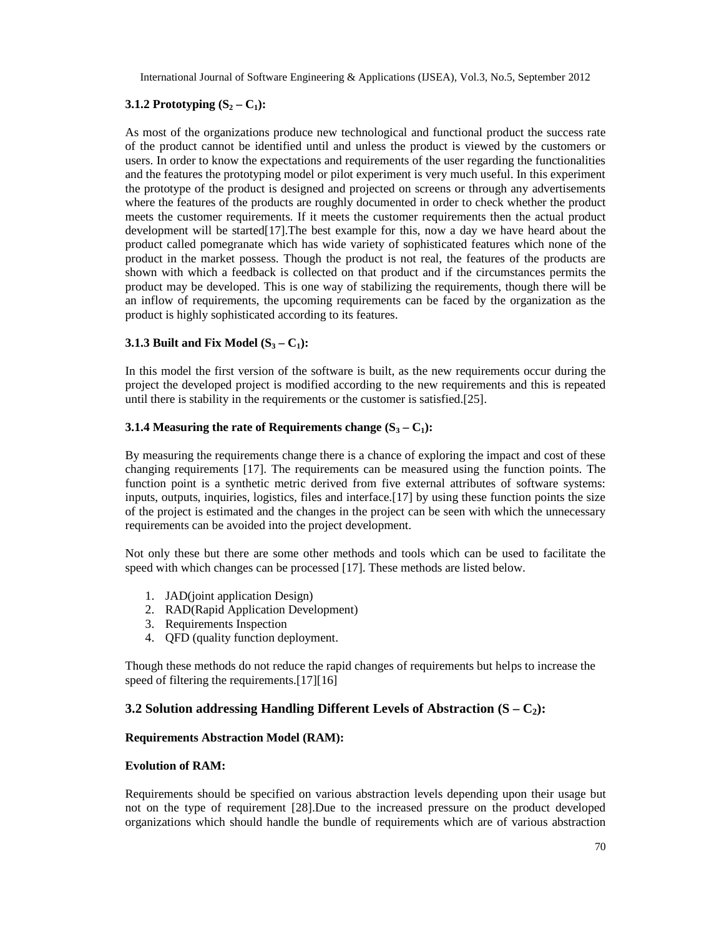# **3.1.2 Prototyping**  $(S_2 - C_1)$ :

As most of the organizations produce new technological and functional product the success rate of the product cannot be identified until and unless the product is viewed by the customers or users. In order to know the expectations and requirements of the user regarding the functionalities and the features the prototyping model or pilot experiment is very much useful. In this experiment the prototype of the product is designed and projected on screens or through any advertisements where the features of the products are roughly documented in order to check whether the product meets the customer requirements. If it meets the customer requirements then the actual product development will be started[17].The best example for this, now a day we have heard about the product called pomegranate which has wide variety of sophisticated features which none of the product in the market possess. Though the product is not real, the features of the products are shown with which a feedback is collected on that product and if the circumstances permits the product may be developed. This is one way of stabilizing the requirements, though there will be an inflow of requirements, the upcoming requirements can be faced by the organization as the product is highly sophisticated according to its features.

# **3.1.3 Built and Fix Model**  $(S_3 - C_1)$ :

In this model the first version of the software is built, as the new requirements occur during the project the developed project is modified according to the new requirements and this is repeated until there is stability in the requirements or the customer is satisfied.[25].

### **3.1.4 Measuring the rate of Requirements change**  $(S_3 - C_1)$ :

By measuring the requirements change there is a chance of exploring the impact and cost of these changing requirements [17]. The requirements can be measured using the function points. The function point is a synthetic metric derived from five external attributes of software systems: inputs, outputs, inquiries, logistics, files and interface.[17] by using these function points the size of the project is estimated and the changes in the project can be seen with which the unnecessary requirements can be avoided into the project development.

Not only these but there are some other methods and tools which can be used to facilitate the speed with which changes can be processed [17]. These methods are listed below.

- 1. JAD(joint application Design)
- 2. RAD(Rapid Application Development)
- 3. Requirements Inspection
- 4. QFD (quality function deployment.

Though these methods do not reduce the rapid changes of requirements but helps to increase the speed of filtering the requirements.[17][16]

# **3.2 Solution addressing Handling Different Levels of Abstraction (S – C2):**

### **Requirements Abstraction Model (RAM):**

### **Evolution of RAM:**

Requirements should be specified on various abstraction levels depending upon their usage but not on the type of requirement [28].Due to the increased pressure on the product developed organizations which should handle the bundle of requirements which are of various abstraction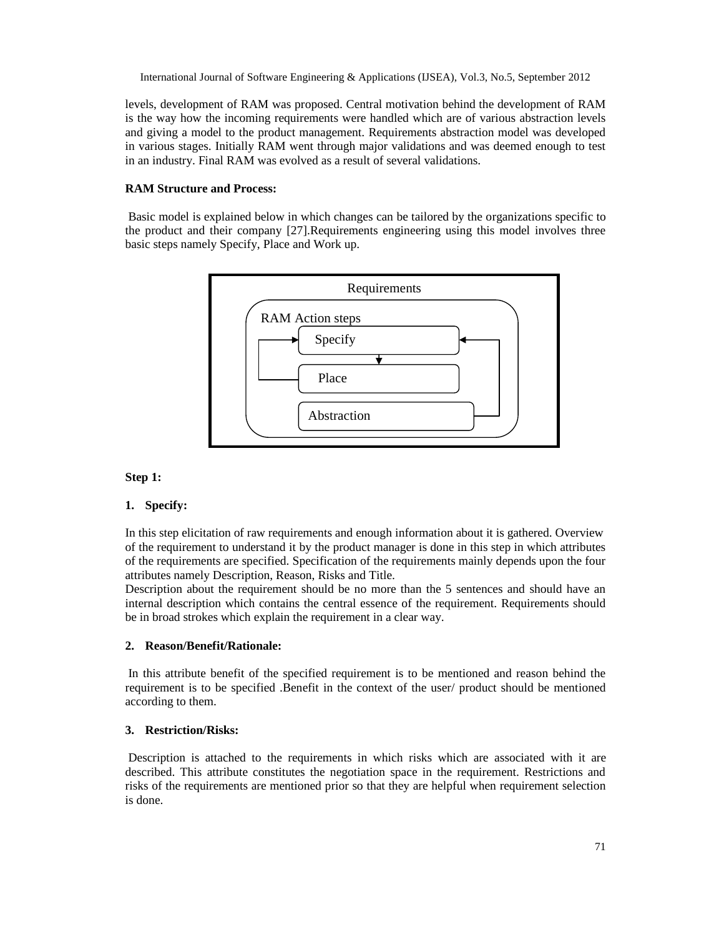levels, development of RAM was proposed. Central motivation behind the development of RAM is the way how the incoming requirements were handled which are of various abstraction levels and giving a model to the product management. Requirements abstraction model was developed in various stages. Initially RAM went through major validations and was deemed enough to test in an industry. Final RAM was evolved as a result of several validations.

# **RAM Structure and Process:**

Basic model is explained below in which changes can be tailored by the organizations specific to the product and their company [27].Requirements engineering using this model involves three basic steps namely Specify, Place and Work up.



# **Step 1:**

# **1. Specify:**

In this step elicitation of raw requirements and enough information about it is gathered. Overview of the requirement to understand it by the product manager is done in this step in which attributes of the requirements are specified. Specification of the requirements mainly depends upon the four attributes namely Description, Reason, Risks and Title.

Description about the requirement should be no more than the 5 sentences and should have an internal description which contains the central essence of the requirement. Requirements should be in broad strokes which explain the requirement in a clear way.

# **2. Reason/Benefit/Rationale:**

In this attribute benefit of the specified requirement is to be mentioned and reason behind the requirement is to be specified .Benefit in the context of the user/ product should be mentioned according to them.

# **3. Restriction/Risks:**

Description is attached to the requirements in which risks which are associated with it are described. This attribute constitutes the negotiation space in the requirement. Restrictions and risks of the requirements are mentioned prior so that they are helpful when requirement selection is done.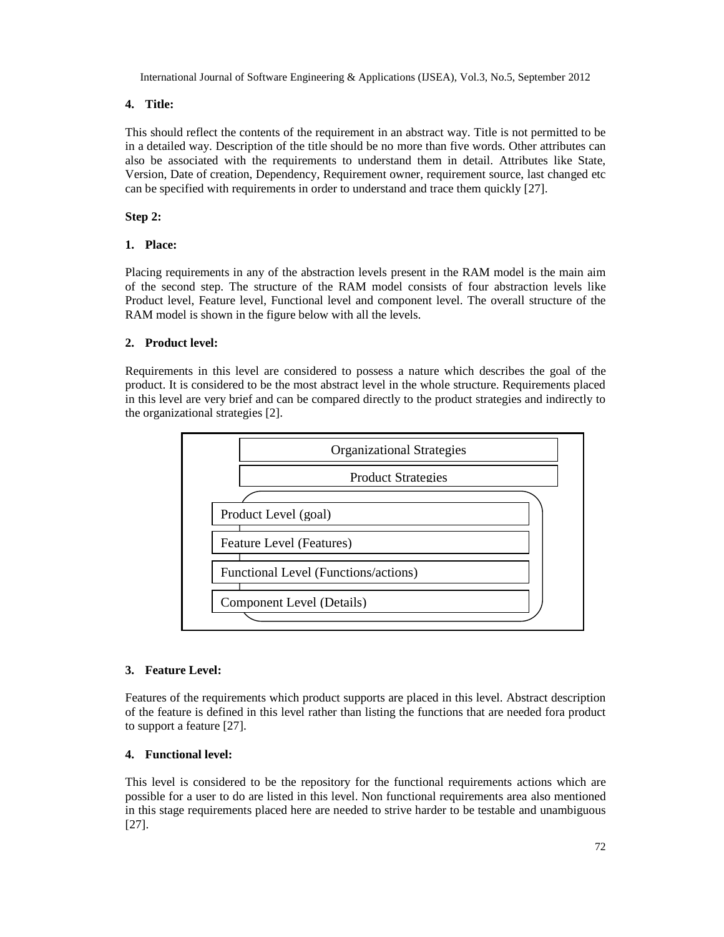# **4. Title:**

This should reflect the contents of the requirement in an abstract way. Title is not permitted to be in a detailed way. Description of the title should be no more than five words. Other attributes can also be associated with the requirements to understand them in detail. Attributes like State, Version, Date of creation, Dependency, Requirement owner, requirement source, last changed etc can be specified with requirements in order to understand and trace them quickly [27].

# **Step 2:**

# **1. Place:**

Placing requirements in any of the abstraction levels present in the RAM model is the main aim of the second step. The structure of the RAM model consists of four abstraction levels like Product level, Feature level, Functional level and component level. The overall structure of the RAM model is shown in the figure below with all the levels.

# **2. Product level:**

Requirements in this level are considered to possess a nature which describes the goal of the product. It is considered to be the most abstract level in the whole structure. Requirements placed in this level are very brief and can be compared directly to the product strategies and indirectly to the organizational strategies [2].



# **3. Feature Level:**

Features of the requirements which product supports are placed in this level. Abstract description of the feature is defined in this level rather than listing the functions that are needed fora product to support a feature [27].

# **4. Functional level:**

This level is considered to be the repository for the functional requirements actions which are possible for a user to do are listed in this level. Non functional requirements area also mentioned in this stage requirements placed here are needed to strive harder to be testable and unambiguous [27].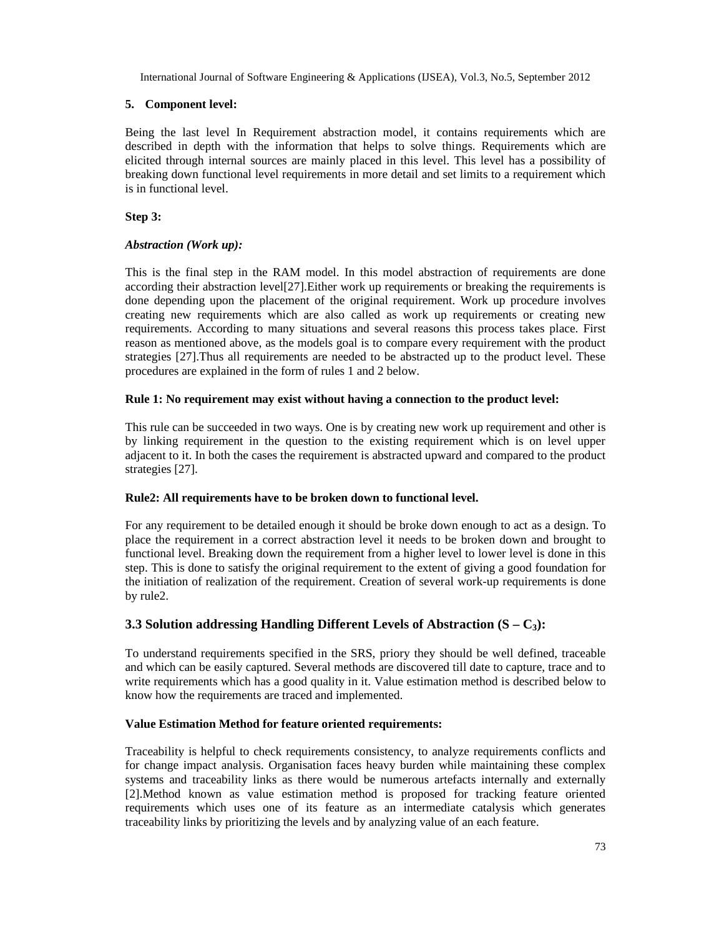### **5. Component level:**

Being the last level In Requirement abstraction model, it contains requirements which are described in depth with the information that helps to solve things. Requirements which are elicited through internal sources are mainly placed in this level. This level has a possibility of breaking down functional level requirements in more detail and set limits to a requirement which is in functional level.

### **Step 3:**

### *Abstraction (Work up):*

This is the final step in the RAM model. In this model abstraction of requirements are done according their abstraction level[27].Either work up requirements or breaking the requirements is done depending upon the placement of the original requirement. Work up procedure involves creating new requirements which are also called as work up requirements or creating new requirements. According to many situations and several reasons this process takes place. First reason as mentioned above, as the models goal is to compare every requirement with the product strategies [27].Thus all requirements are needed to be abstracted up to the product level. These procedures are explained in the form of rules 1 and 2 below.

### **Rule 1: No requirement may exist without having a connection to the product level:**

This rule can be succeeded in two ways. One is by creating new work up requirement and other is by linking requirement in the question to the existing requirement which is on level upper adjacent to it. In both the cases the requirement is abstracted upward and compared to the product strategies [27].

# **Rule2: All requirements have to be broken down to functional level.**

For any requirement to be detailed enough it should be broke down enough to act as a design. To place the requirement in a correct abstraction level it needs to be broken down and brought to functional level. Breaking down the requirement from a higher level to lower level is done in this step. This is done to satisfy the original requirement to the extent of giving a good foundation for the initiation of realization of the requirement. Creation of several work-up requirements is done by rule2.

# **3.3 Solution addressing Handling Different Levels of Abstraction (S – C3):**

To understand requirements specified in the SRS, priory they should be well defined, traceable and which can be easily captured. Several methods are discovered till date to capture, trace and to write requirements which has a good quality in it. Value estimation method is described below to know how the requirements are traced and implemented.

# **Value Estimation Method for feature oriented requirements:**

Traceability is helpful to check requirements consistency, to analyze requirements conflicts and for change impact analysis. Organisation faces heavy burden while maintaining these complex systems and traceability links as there would be numerous artefacts internally and externally [2].Method known as value estimation method is proposed for tracking feature oriented requirements which uses one of its feature as an intermediate catalysis which generates traceability links by prioritizing the levels and by analyzing value of an each feature.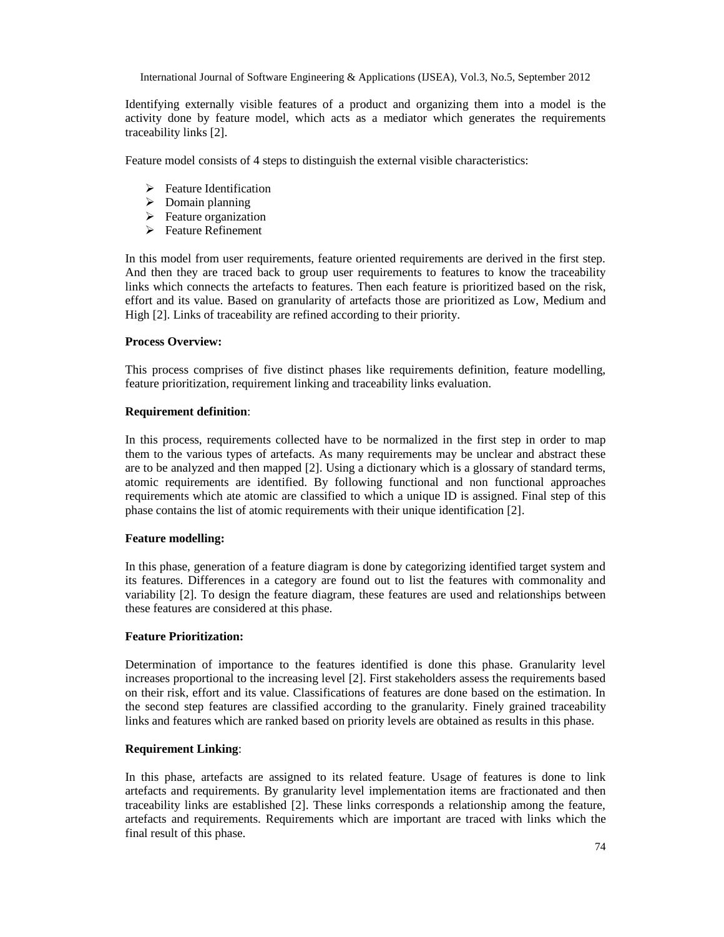Identifying externally visible features of a product and organizing them into a model is the activity done by feature model, which acts as a mediator which generates the requirements traceability links [2].

Feature model consists of 4 steps to distinguish the external visible characteristics:

- $\triangleright$  Feature Identification
- $\triangleright$  Domain planning
- $\triangleright$  Feature organization
- $\triangleright$  Feature Refinement

In this model from user requirements, feature oriented requirements are derived in the first step. And then they are traced back to group user requirements to features to know the traceability links which connects the artefacts to features. Then each feature is prioritized based on the risk, effort and its value. Based on granularity of artefacts those are prioritized as Low, Medium and High [2]. Links of traceability are refined according to their priority.

### **Process Overview:**

This process comprises of five distinct phases like requirements definition, feature modelling, feature prioritization, requirement linking and traceability links evaluation.

### **Requirement definition**:

In this process, requirements collected have to be normalized in the first step in order to map them to the various types of artefacts. As many requirements may be unclear and abstract these are to be analyzed and then mapped [2]. Using a dictionary which is a glossary of standard terms, atomic requirements are identified. By following functional and non functional approaches requirements which ate atomic are classified to which a unique ID is assigned. Final step of this phase contains the list of atomic requirements with their unique identification [2].

### **Feature modelling:**

In this phase, generation of a feature diagram is done by categorizing identified target system and its features. Differences in a category are found out to list the features with commonality and variability [2]. To design the feature diagram, these features are used and relationships between these features are considered at this phase.

### **Feature Prioritization:**

Determination of importance to the features identified is done this phase. Granularity level increases proportional to the increasing level [2]. First stakeholders assess the requirements based on their risk, effort and its value. Classifications of features are done based on the estimation. In the second step features are classified according to the granularity. Finely grained traceability links and features which are ranked based on priority levels are obtained as results in this phase.

### **Requirement Linking**:

In this phase, artefacts are assigned to its related feature. Usage of features is done to link artefacts and requirements. By granularity level implementation items are fractionated and then traceability links are established [2]. These links corresponds a relationship among the feature, artefacts and requirements. Requirements which are important are traced with links which the final result of this phase.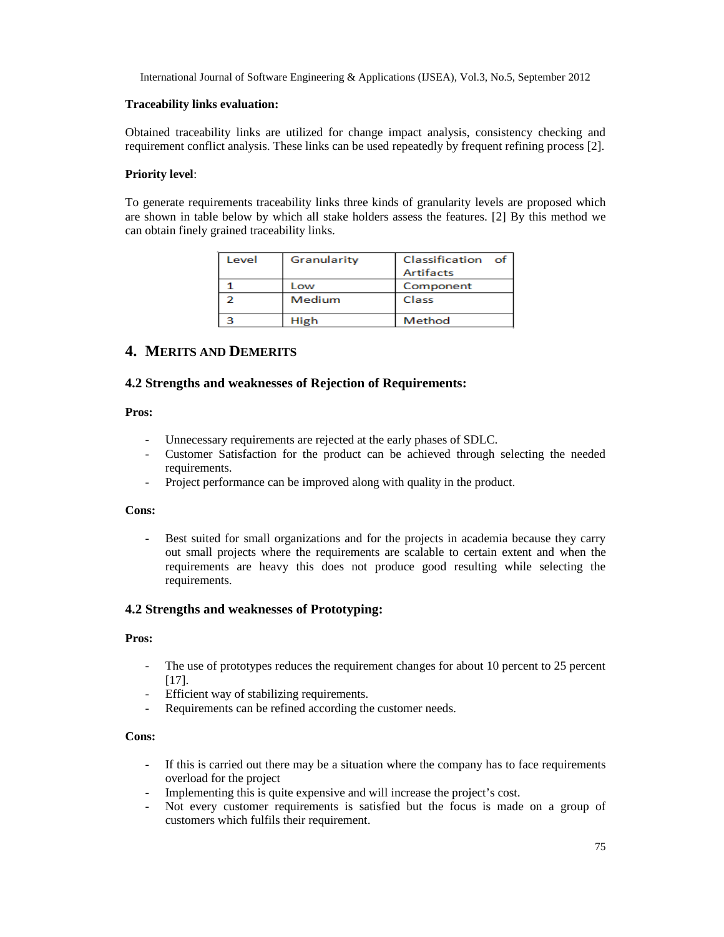# **Traceability links evaluation:**

Obtained traceability links are utilized for change impact analysis, consistency checking and requirement conflict analysis. These links can be used repeatedly by frequent refining process [2].

# **Priority level**:

To generate requirements traceability links three kinds of granularity levels are proposed which are shown in table below by which all stake holders assess the features. [2] By this method we can obtain finely grained traceability links.

| Level | Granularity | Classification of<br><b>Artifacts</b> |
|-------|-------------|---------------------------------------|
|       | Low         | Component                             |
|       | Medium      | Class                                 |
|       | High        | Method                                |

# **4. MERITS AND DEMERITS**

# **4.2 Strengths and weaknesses of Rejection of Requirements:**

# **Pros:**

- Unnecessary requirements are rejected at the early phases of SDLC.
- Customer Satisfaction for the product can be achieved through selecting the needed requirements.
- Project performance can be improved along with quality in the product.

# **Cons:**

- Best suited for small organizations and for the projects in academia because they carry out small projects where the requirements are scalable to certain extent and when the requirements are heavy this does not produce good resulting while selecting the requirements.

# **4.2 Strengths and weaknesses of Prototyping:**

# **Pros:**

- The use of prototypes reduces the requirement changes for about 10 percent to 25 percent [17].
- Efficient way of stabilizing requirements.
- Requirements can be refined according the customer needs.

# **Cons:**

- If this is carried out there may be a situation where the company has to face requirements overload for the project
- Implementing this is quite expensive and will increase the project's cost.
- Not every customer requirements is satisfied but the focus is made on a group of customers which fulfils their requirement.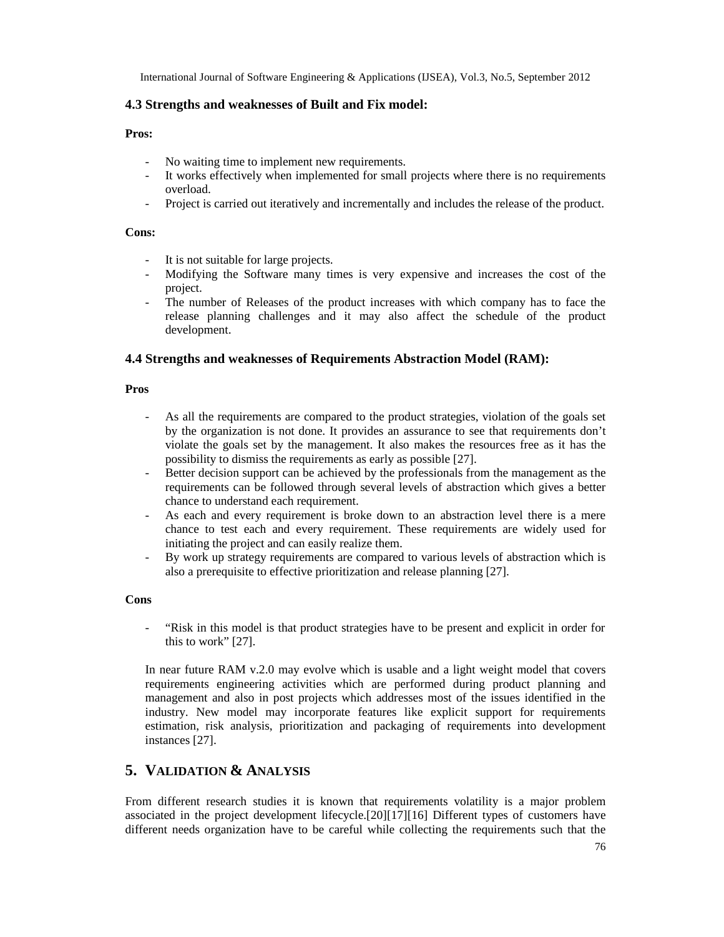# **4.3 Strengths and weaknesses of Built and Fix model:**

### **Pros:**

- No waiting time to implement new requirements.
- It works effectively when implemented for small projects where there is no requirements overload.
- Project is carried out iteratively and incrementally and includes the release of the product.

### **Cons:**

- It is not suitable for large projects.
- Modifying the Software many times is very expensive and increases the cost of the project.
- The number of Releases of the product increases with which company has to face the release planning challenges and it may also affect the schedule of the product development.

# **4.4 Strengths and weaknesses of Requirements Abstraction Model (RAM):**

### **Pros**

- As all the requirements are compared to the product strategies, violation of the goals set by the organization is not done. It provides an assurance to see that requirements don't violate the goals set by the management. It also makes the resources free as it has the possibility to dismiss the requirements as early as possible [27].
- Better decision support can be achieved by the professionals from the management as the requirements can be followed through several levels of abstraction which gives a better chance to understand each requirement.
- As each and every requirement is broke down to an abstraction level there is a mere chance to test each and every requirement. These requirements are widely used for initiating the project and can easily realize them.
- By work up strategy requirements are compared to various levels of abstraction which is also a prerequisite to effective prioritization and release planning [27].

### **Cons**

- "Risk in this model is that product strategies have to be present and explicit in order for this to work" [27].

In near future RAM v.2.0 may evolve which is usable and a light weight model that covers requirements engineering activities which are performed during product planning and management and also in post projects which addresses most of the issues identified in the industry. New model may incorporate features like explicit support for requirements estimation, risk analysis, prioritization and packaging of requirements into development instances [27].

# **5. VALIDATION & ANALYSIS**

From different research studies it is known that requirements volatility is a major problem associated in the project development lifecycle.[20][17][16] Different types of customers have different needs organization have to be careful while collecting the requirements such that the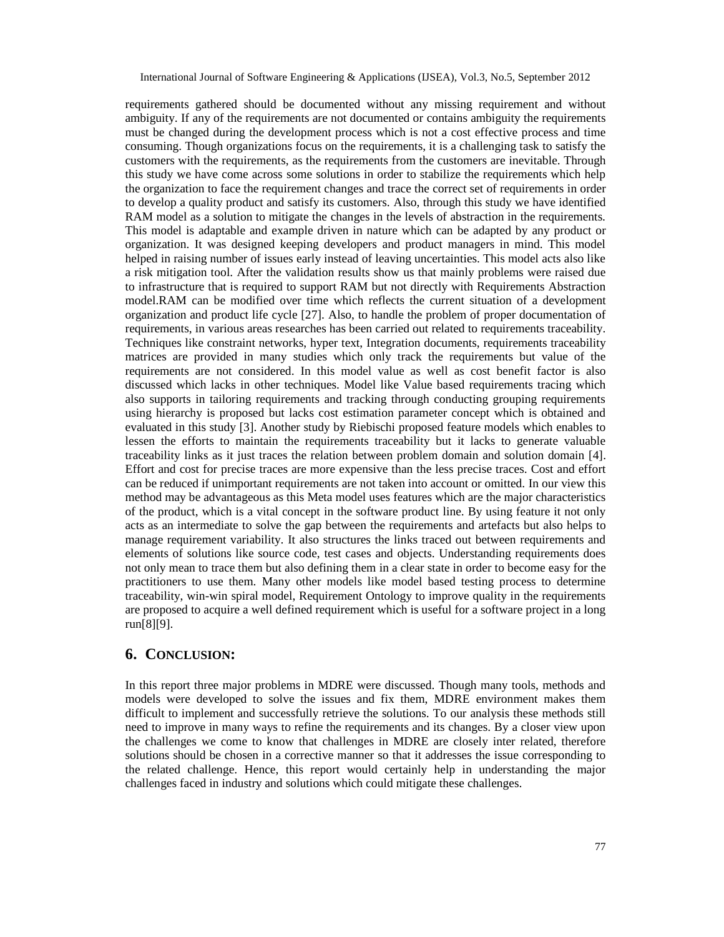requirements gathered should be documented without any missing requirement and without ambiguity. If any of the requirements are not documented or contains ambiguity the requirements must be changed during the development process which is not a cost effective process and time consuming. Though organizations focus on the requirements, it is a challenging task to satisfy the customers with the requirements, as the requirements from the customers are inevitable. Through this study we have come across some solutions in order to stabilize the requirements which help the organization to face the requirement changes and trace the correct set of requirements in order to develop a quality product and satisfy its customers. Also, through this study we have identified RAM model as a solution to mitigate the changes in the levels of abstraction in the requirements. This model is adaptable and example driven in nature which can be adapted by any product or organization. It was designed keeping developers and product managers in mind. This model helped in raising number of issues early instead of leaving uncertainties. This model acts also like a risk mitigation tool. After the validation results show us that mainly problems were raised due to infrastructure that is required to support RAM but not directly with Requirements Abstraction model.RAM can be modified over time which reflects the current situation of a development organization and product life cycle [27]. Also, to handle the problem of proper documentation of requirements, in various areas researches has been carried out related to requirements traceability. Techniques like constraint networks, hyper text, Integration documents, requirements traceability matrices are provided in many studies which only track the requirements but value of the requirements are not considered. In this model value as well as cost benefit factor is also discussed which lacks in other techniques. Model like Value based requirements tracing which also supports in tailoring requirements and tracking through conducting grouping requirements using hierarchy is proposed but lacks cost estimation parameter concept which is obtained and evaluated in this study [3]. Another study by Riebischi proposed feature models which enables to lessen the efforts to maintain the requirements traceability but it lacks to generate valuable traceability links as it just traces the relation between problem domain and solution domain [4]. Effort and cost for precise traces are more expensive than the less precise traces. Cost and effort can be reduced if unimportant requirements are not taken into account or omitted. In our view this method may be advantageous as this Meta model uses features which are the major characteristics of the product, which is a vital concept in the software product line. By using feature it not only acts as an intermediate to solve the gap between the requirements and artefacts but also helps to manage requirement variability. It also structures the links traced out between requirements and elements of solutions like source code, test cases and objects. Understanding requirements does not only mean to trace them but also defining them in a clear state in order to become easy for the practitioners to use them. Many other models like model based testing process to determine traceability, win-win spiral model, Requirement Ontology to improve quality in the requirements are proposed to acquire a well defined requirement which is useful for a software project in a long run[8][9].

# **6. CONCLUSION:**

In this report three major problems in MDRE were discussed. Though many tools, methods and models were developed to solve the issues and fix them, MDRE environment makes them difficult to implement and successfully retrieve the solutions. To our analysis these methods still need to improve in many ways to refine the requirements and its changes. By a closer view upon the challenges we come to know that challenges in MDRE are closely inter related, therefore solutions should be chosen in a corrective manner so that it addresses the issue corresponding to the related challenge. Hence, this report would certainly help in understanding the major challenges faced in industry and solutions which could mitigate these challenges.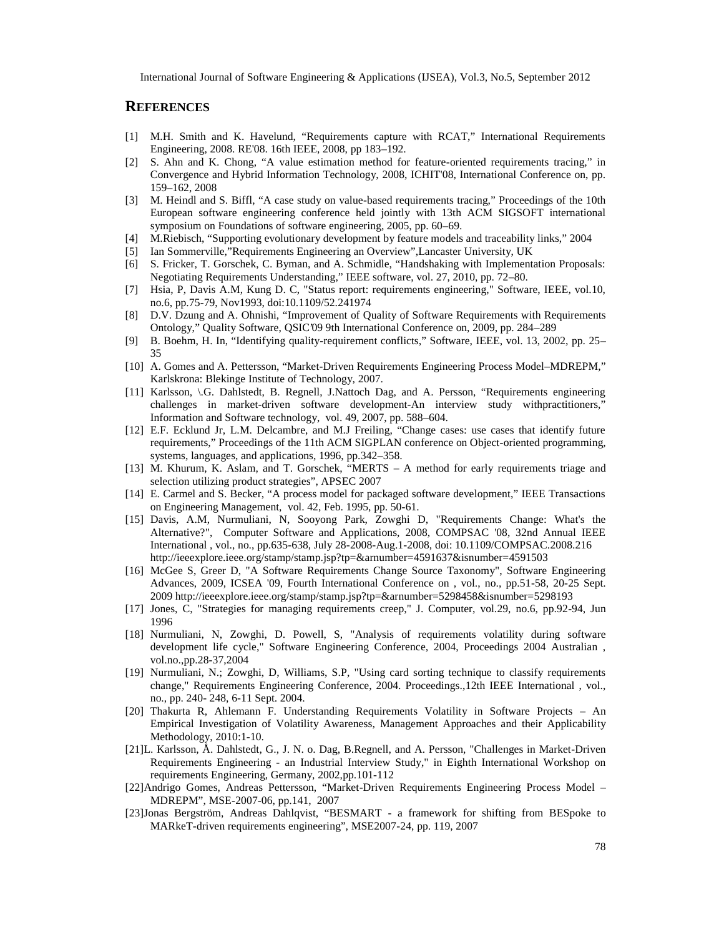# **REFERENCES**

- [1] M.H. Smith and K. Havelund, €Requirements capture with RCAT,• International Requirements Engineering, 2008. RE'08. 16th IEEE, 2008, ppf1892.
- [2] S. Ahn and K. Chong€A value estimation method for featumented requirements tracing,• in Convergence and Hybrid Information Technology, 2008, ICHIT'08, International Conference on, pp. 159ƒ162, 2008
- [3] M. Heindl and S. Biffl,  $\epsilon$ A case study on valuated requirement sating,• Proceedings of the 10th European software engineering conference held jointly with 13th ACM SIGSOFT international symposium on Foundations of software engineering, 2005, pp6960
- [4] M.Riebisch,  $€$ Supporting evolutionary development by feature mot traceability links,• 2004
- [5] Ian Sommerville,•Requirements Engineering an Overview•,Lancaster University, UK
- [6] S. Fricker, T. Gorschek, C. Byman, and A. Schmidle, €Handshaking with Implementation Proposals: Negotiating Requirements Understandin EEE software, vol. 27, 2010, pp. 7820.
- [7] Hsia, P, Davis A.M, Kung D. C, "Status report: requirements engineering," Software, IEEE, vol.10, no.6, pp.75-79, Nov1993, doi:10.1109/52.241974
- [8] D.V. Dzung and A. Ohnishi, €Improvement of Quality of **®afe** Requirements with Requirements Ontology,• Quality Software, QSIC'09 9th International Conference on, 2009, pf28984
- [9] B. Boehm, H. In, €Identifying qualityequirement conflicts,• Software, IEEE, vol. 13, 2002, ppf. 25 35
- [10] A. Gomes and A. Pettsson, €Market riven Requirements Engineering Process Monde REPM, Karlskrona: Blekinge Institute of Technology, 2007.
- [11] Karlsson,\.G. Dahlstedt, B. Regnell, J.Nattoch Dag, and A. Persson, €Requirements engineering challenges in market riven software developmen An interview study withpractitioners,• Information and Software technology, vol. 49, 2007, pp. f688.
- [12] E.F. Ecklund Jr, L.M. Delcambre, and M.J Freiling, €Change cases: use cases that identify future requirements,• Proceedings of theth ACM SIGPLAN conference on Objectiented programming, systems, languages, and applications, 1996, pp35482
- [13] M. Khurum, K. Aslam, and T. Gorschek, €MERTSA method for early requirements triage and selection utilizing product strategies•, APS 2007
- [14] E. Carmel and S. Becker, €A process model for packaged software development,• IEEE Transactions on Engineering Management, vol. 42, Feb. 1995, pp6150
- [15] Davis, A.M, Nurmuliani, N, Sooyong Park, Zowghi D, "Requirements Change: What's the Alternative?", Computer Software and Applications, 2008, COMPSAC '08, 32nd Annual IEEE International , vol., no., pp.63538, July 282008Aug.1-2008, doi: 10.1109/COMPSAC.2008.216 [http://ieeexplore.ieee.org/stamp/stamp](http://ieeexplore.ieee.org/stamp/stamp.jsp).jsp?tp=&arnumber=4591637&isnumber=03
- [16] McGee S, Greer D, "A Software Requirements Change Source Taxonomy", Software Engineering Advances, 2009, ICSEA '09, Fourth International Conference on, vol., no., 56, 2025 Sept. 200[9http://ieeexplore.ieee.org/stamp/stamp](http://ieeexplore.ieee.org/stamp/stamp.jsp).jsp?tp=&arnum ber=5298458&isnumber=5298193
- [17] Jones, C, "Strategies for managing requirements creep," J. Computer, vol.29, no.694 ppl.92 1996
- [18] Nurmuliani, N, Zowghi, D. Powell, S, "Analysis of requirements volatility during software development life cycle,"Software Engineering Conference, 2004, Proceedings 2004 Australian , vol.no.,pp.2837,2004
- [19] Nurmuliani, N.; Zowghi, D, Williams, S.P, "Using card sorting technique to classify requirements change," Requirements Engineering Conference, 2004. Proceet and EEE International, vol., no., pp. 240248, 611 Sept. 2004.
- [20] Thakurta R, Ahlemann F. Understanding Requirements Volatility in Software Profects Empirical Investigation of Volatility Awareness, Management Approaches and their Appticabili Methodology, 2010:410.
- [21]L. Karlsson, Å. Dahlstedt, G., J. N. o. Dag, B.Regnell, and A. Persson, "Challenges in-Dlaivent Requirements Engineeringan Industrial Interview Study," in Eighth International Workshop on requirements Engineering, Geany, 2002,pp.10112
- [22]Andrigo Gomes, Andreas Pettersson, €MaDreiten Requirements Engineering Process Moßel MDREPM•, MSE-2007-06, pp.141, 2007
- [23]Jonas Bergstr"m, Andreas Dahlqvist, €BESMARTa framework for shifting from BESpoke to MARkeT-driven requirements engineering•, MSE20207, pp. 119, 2007